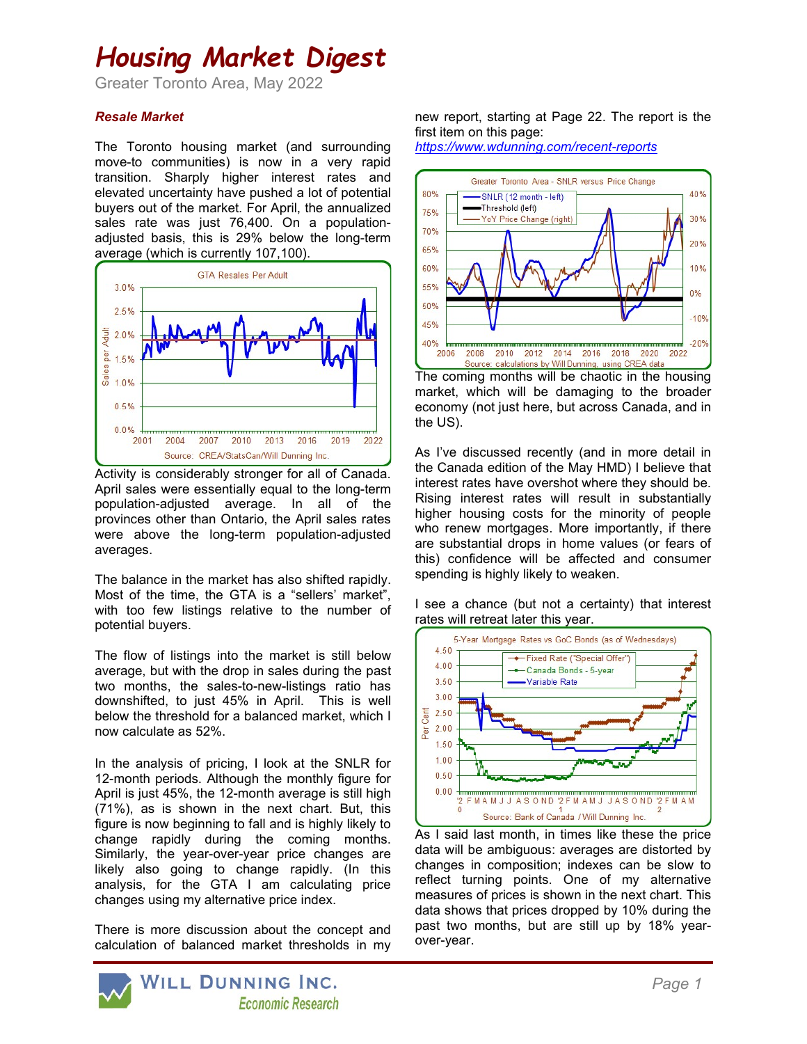# Housing Market Digest

Greater Toronto Area, May 2022

#### Resale Market

The Toronto housing market (and surrounding move-to communities) is now in a very rapid transition. Sharply higher interest rates and elevated uncertainty have pushed a lot of potential buyers out of the market. For April, the annualized sales rate was just 76,400. On a populationadjusted basis, this is 29% below the long-term average (which is currently 107,100).



Activity is considerably stronger for all of Canada. April sales were essentially equal to the long-term population-adjusted average. In all of the provinces other than Ontario, the April sales rates were above the long-term population-adjusted averages.

The balance in the market has also shifted rapidly. Most of the time, the GTA is a "sellers' market", with too few listings relative to the number of potential buyers.

The flow of listings into the market is still below average, but with the drop in sales during the past two months, the sales-to-new-listings ratio has downshifted, to just 45% in April. This is well below the threshold for a balanced market, which I now calculate as 52%.

In the analysis of pricing, I look at the SNLR for 12-month periods. Although the monthly figure for April is just 45%, the 12-month average is still high (71%), as is shown in the next chart. But, this figure is now beginning to fall and is highly likely to change rapidly during the coming months. Similarly, the year-over-year price changes are likely also going to change rapidly. (In this analysis, for the GTA I am calculating price changes using my alternative price index.

There is more discussion about the concept and calculation of balanced market thresholds in my new report, starting at Page 22. The report is the first item on this page:





The coming months will be chaotic in the housing market, which will be damaging to the broader economy (not just here, but across Canada, and in the US).

As I've discussed recently (and in more detail in the Canada edition of the May HMD) I believe that interest rates have overshot where they should be. Rising interest rates will result in substantially higher housing costs for the minority of people who renew mortgages. More importantly, if there are substantial drops in home values (or fears of this) confidence will be affected and consumer spending is highly likely to weaken.

I see a chance (but not a certainty) that interest rates will retreat later this year.



As I said last month, in times like these the price data will be ambiguous: averages are distorted by changes in composition; indexes can be slow to reflect turning points. One of my alternative measures of prices is shown in the next chart. This data shows that prices dropped by 10% during the past two months, but are still up by 18% yearover-year.